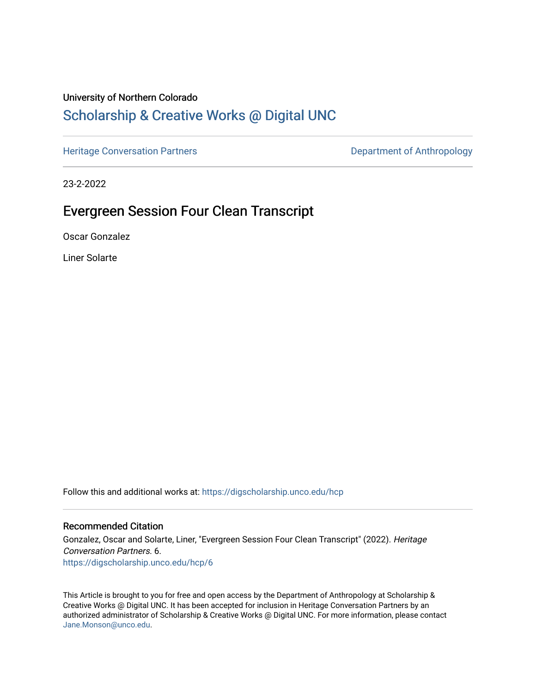### University of Northern Colorado

# [Scholarship & Creative Works @ Digital UNC](https://digscholarship.unco.edu/)

[Heritage Conversation Partners](https://digscholarship.unco.edu/hcp) **Department of Anthropology** 

23-2-2022

# Evergreen Session Four Clean Transcript

Oscar Gonzalez

Liner Solarte

Follow this and additional works at: [https://digscholarship.unco.edu/hcp](https://digscholarship.unco.edu/hcp?utm_source=digscholarship.unco.edu%2Fhcp%2F6&utm_medium=PDF&utm_campaign=PDFCoverPages) 

#### Recommended Citation

Gonzalez, Oscar and Solarte, Liner, "Evergreen Session Four Clean Transcript" (2022). Heritage Conversation Partners. 6. [https://digscholarship.unco.edu/hcp/6](https://digscholarship.unco.edu/hcp/6?utm_source=digscholarship.unco.edu%2Fhcp%2F6&utm_medium=PDF&utm_campaign=PDFCoverPages)

This Article is brought to you for free and open access by the Department of Anthropology at Scholarship & Creative Works @ Digital UNC. It has been accepted for inclusion in Heritage Conversation Partners by an authorized administrator of Scholarship & Creative Works @ Digital UNC. For more information, please contact [Jane.Monson@unco.edu.](mailto:Jane.Monson@unco.edu)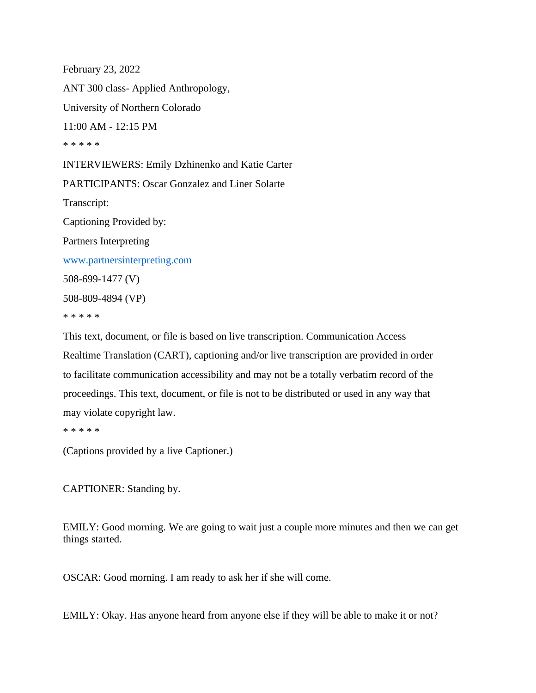February 23, 2022 ANT 300 class- Applied Anthropology, University of Northern Colorado 11:00 AM - 12:15 PM \* \* \* \* \* INTERVIEWERS: Emily Dzhinenko and Katie Carter PARTICIPANTS: Oscar Gonzalez and Liner Solarte Transcript: Captioning Provided by: Partners Interpreting [www.partnersinterpreting.com](https://usc-word-edit.officeapps.live.com/we/www.partnersinterpreting.com) 508-699-1477 (V) 508-809-4894 (VP) \* \* \* \* \*

This text, document, or file is based on live transcription. Communication Access Realtime Translation (CART), captioning and/or live transcription are provided in order to facilitate communication accessibility and may not be a totally verbatim record of the proceedings. This text, document, or file is not to be distributed or used in any way that may violate copyright law.

\* \* \* \* \*

(Captions provided by a live Captioner.)

CAPTIONER: Standing by.

EMILY: Good morning. We are going to wait just a couple more minutes and then we can get things started.

OSCAR: Good morning. I am ready to ask her if she will come.

EMILY: Okay. Has anyone heard from anyone else if they will be able to make it or not?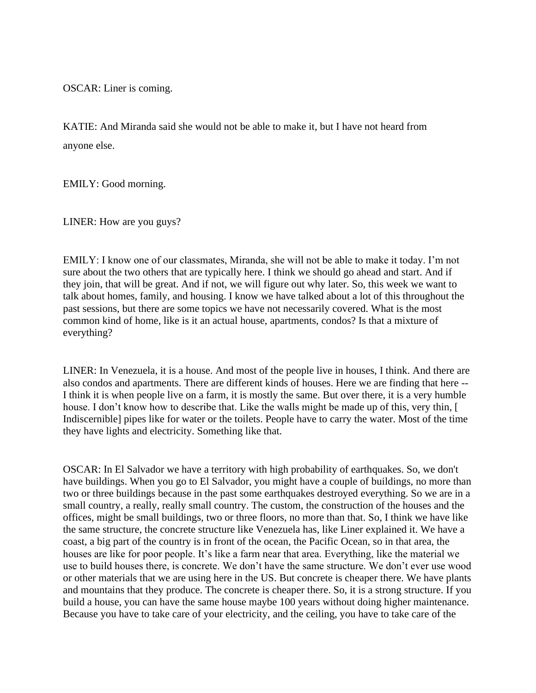OSCAR: Liner is coming.

KATIE: And Miranda said she would not be able to make it, but I have not heard from anyone else.

EMILY: Good morning.

LINER: How are you guys?

EMILY: I know one of our classmates, Miranda, she will not be able to make it today. I'm not sure about the two others that are typically here. I think we should go ahead and start. And if they join, that will be great. And if not, we will figure out why later. So, this week we want to talk about homes, family, and housing. I know we have talked about a lot of this throughout the past sessions, but there are some topics we have not necessarily covered. What is the most common kind of home, like is it an actual house, apartments, condos? Is that a mixture of everything?

LINER: In Venezuela, it is a house. And most of the people live in houses, I think. And there are also condos and apartments. There are different kinds of houses. Here we are finding that here -- I think it is when people live on a farm, it is mostly the same. But over there, it is a very humble house. I don't know how to describe that. Like the walls might be made up of this, very thin, [ Indiscernible] pipes like for water or the toilets. People have to carry the water. Most of the time they have lights and electricity. Something like that.

OSCAR: In El Salvador we have a territory with high probability of earthquakes. So, we don't have buildings. When you go to El Salvador, you might have a couple of buildings, no more than two or three buildings because in the past some earthquakes destroyed everything. So we are in a small country, a really, really small country. The custom, the construction of the houses and the offices, might be small buildings, two or three floors, no more than that. So, I think we have like the same structure, the concrete structure like Venezuela has, like Liner explained it. We have a coast, a big part of the country is in front of the ocean, the Pacific Ocean, so in that area, the houses are like for poor people. It's like a farm near that area. Everything, like the material we use to build houses there, is concrete. We don't have the same structure. We don't ever use wood or other materials that we are using here in the US. But concrete is cheaper there. We have plants and mountains that they produce. The concrete is cheaper there. So, it is a strong structure. If you build a house, you can have the same house maybe 100 years without doing higher maintenance. Because you have to take care of your electricity, and the ceiling, you have to take care of the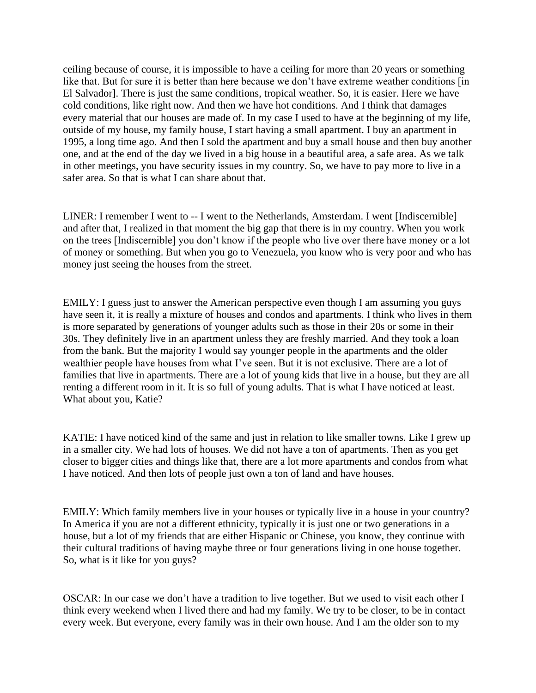ceiling because of course, it is impossible to have a ceiling for more than 20 years or something like that. But for sure it is better than here because we don't have extreme weather conditions [in] El Salvador]. There is just the same conditions, tropical weather. So, it is easier. Here we have cold conditions, like right now. And then we have hot conditions. And I think that damages every material that our houses are made of. In my case I used to have at the beginning of my life, outside of my house, my family house, I start having a small apartment. I buy an apartment in 1995, a long time ago. And then I sold the apartment and buy a small house and then buy another one, and at the end of the day we lived in a big house in a beautiful area, a safe area. As we talk in other meetings, you have security issues in my country. So, we have to pay more to live in a safer area. So that is what I can share about that.

LINER: I remember I went to -- I went to the Netherlands, Amsterdam. I went [Indiscernible] and after that, I realized in that moment the big gap that there is in my country. When you work on the trees [Indiscernible] you don't know if the people who live over there have money or a lot of money or something. But when you go to Venezuela, you know who is very poor and who has money just seeing the houses from the street.

EMILY: I guess just to answer the American perspective even though I am assuming you guys have seen it, it is really a mixture of houses and condos and apartments. I think who lives in them is more separated by generations of younger adults such as those in their 20s or some in their 30s. They definitely live in an apartment unless they are freshly married. And they took a loan from the bank. But the majority I would say younger people in the apartments and the older wealthier people have houses from what I've seen. But it is not exclusive. There are a lot of families that live in apartments. There are a lot of young kids that live in a house, but they are all renting a different room in it. It is so full of young adults. That is what I have noticed at least. What about you, Katie?

KATIE: I have noticed kind of the same and just in relation to like smaller towns. Like I grew up in a smaller city. We had lots of houses. We did not have a ton of apartments. Then as you get closer to bigger cities and things like that, there are a lot more apartments and condos from what I have noticed. And then lots of people just own a ton of land and have houses.

EMILY: Which family members live in your houses or typically live in a house in your country? In America if you are not a different ethnicity, typically it is just one or two generations in a house, but a lot of my friends that are either Hispanic or Chinese, you know, they continue with their cultural traditions of having maybe three or four generations living in one house together. So, what is it like for you guys?

OSCAR: In our case we don't have a tradition to live together. But we used to visit each other I think every weekend when I lived there and had my family. We try to be closer, to be in contact every week. But everyone, every family was in their own house. And I am the older son to my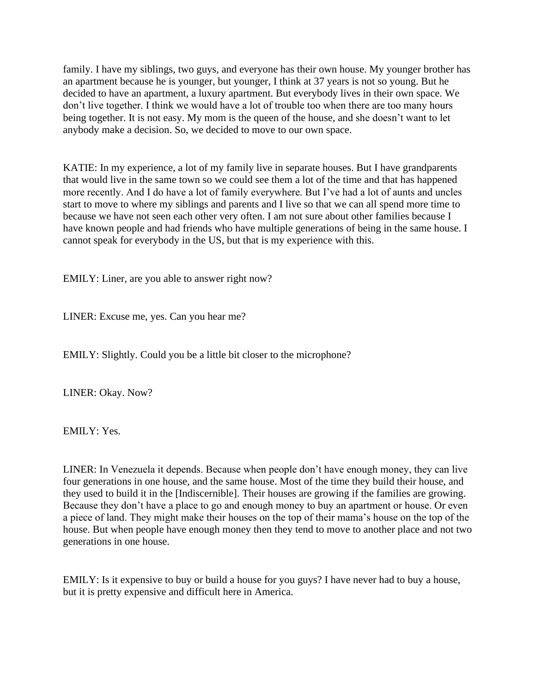family. I have my siblings, two guys, and everyone has their own house. My younger brother has an apartment because he is younger, but younger, I think at 37 years is not so young. But he decided to have an apartment, a luxury apartment. But everybody lives in their own space. We don't live together. I think we would have a lot of trouble too when there are too many hours being together. It is not easy. My mom is the queen of the house, and she doesn't want to let anybody make a decision. So, we decided to move to our own space.

KATIE: In my experience, a lot of my family live in separate houses. But I have grandparents that would live in the same town so we could see them a lot of the time and that has happened more recently. And I do have a lot of family everywhere. But I've had a lot of aunts and uncles start to move to where my siblings and parents and I live so that we can all spend more time to because we have not seen each other very often. I am not sure about other families because I have known people and had friends who have multiple generations of being in the same house. I cannot speak for everybody in the US, but that is my experience with this.

EMILY: Liner, are you able to answer right now?

LINER: Excuse me, yes. Can you hear me?

EMILY: Slightly. Could you be a little bit closer to the microphone?

LINER: Okay. Now?

EMILY: Yes.

LINER: In Venezuela it depends. Because when people don't have enough money, they can live four generations in one house, and the same house. Most of the time they build their house, and they used to build it in the [Indiscernible]. Their houses are growing if the families are growing. Because they don't have a place to go and enough money to buy an apartment or house. Or even a piece of land. They might make their houses on the top of their mama's house on the top of the house. But when people have enough money then they tend to move to another place and not two generations in one house.

EMILY: Is it expensive to buy or build a house for you guys? I have never had to buy a house, but it is pretty expensive and difficult here in America.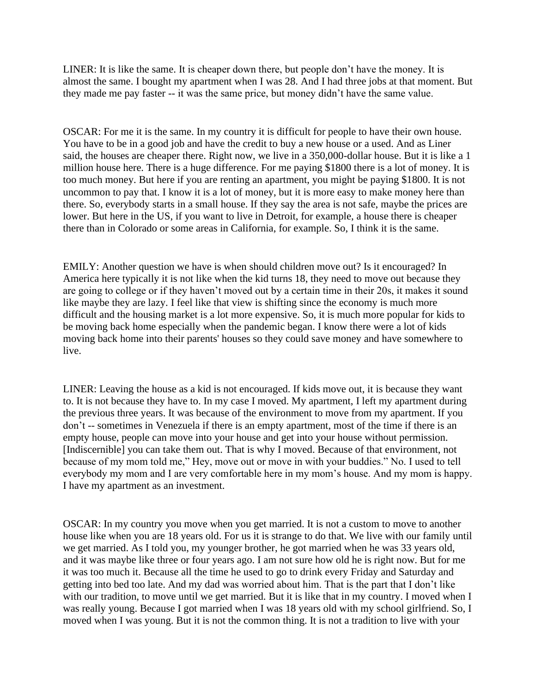LINER: It is like the same. It is cheaper down there, but people don't have the money. It is almost the same. I bought my apartment when I was 28. And I had three jobs at that moment. But they made me pay faster -- it was the same price, but money didn't have the same value.

OSCAR: For me it is the same. In my country it is difficult for people to have their own house. You have to be in a good job and have the credit to buy a new house or a used. And as Liner said, the houses are cheaper there. Right now, we live in a 350,000-dollar house. But it is like a 1 million house here. There is a huge difference. For me paying \$1800 there is a lot of money. It is too much money. But here if you are renting an apartment, you might be paying \$1800. It is not uncommon to pay that. I know it is a lot of money, but it is more easy to make money here than there. So, everybody starts in a small house. If they say the area is not safe, maybe the prices are lower. But here in the US, if you want to live in Detroit, for example, a house there is cheaper there than in Colorado or some areas in California, for example. So, I think it is the same.

EMILY: Another question we have is when should children move out? Is it encouraged? In America here typically it is not like when the kid turns 18, they need to move out because they are going to college or if they haven't moved out by a certain time in their 20s, it makes it sound like maybe they are lazy. I feel like that view is shifting since the economy is much more difficult and the housing market is a lot more expensive. So, it is much more popular for kids to be moving back home especially when the pandemic began. I know there were a lot of kids moving back home into their parents' houses so they could save money and have somewhere to live.

LINER: Leaving the house as a kid is not encouraged. If kids move out, it is because they want to. It is not because they have to. In my case I moved. My apartment, I left my apartment during the previous three years. It was because of the environment to move from my apartment. If you don't -- sometimes in Venezuela if there is an empty apartment, most of the time if there is an empty house, people can move into your house and get into your house without permission. [Indiscernible] you can take them out. That is why I moved. Because of that environment, not because of my mom told me," Hey, move out or move in with your buddies." No. I used to tell everybody my mom and I are very comfortable here in my mom's house. And my mom is happy. I have my apartment as an investment.

OSCAR: In my country you move when you get married. It is not a custom to move to another house like when you are 18 years old. For us it is strange to do that. We live with our family until we get married. As I told you, my younger brother, he got married when he was 33 years old, and it was maybe like three or four years ago. I am not sure how old he is right now. But for me it was too much it. Because all the time he used to go to drink every Friday and Saturday and getting into bed too late. And my dad was worried about him. That is the part that I don't like with our tradition, to move until we get married. But it is like that in my country. I moved when I was really young. Because I got married when I was 18 years old with my school girlfriend. So, I moved when I was young. But it is not the common thing. It is not a tradition to live with your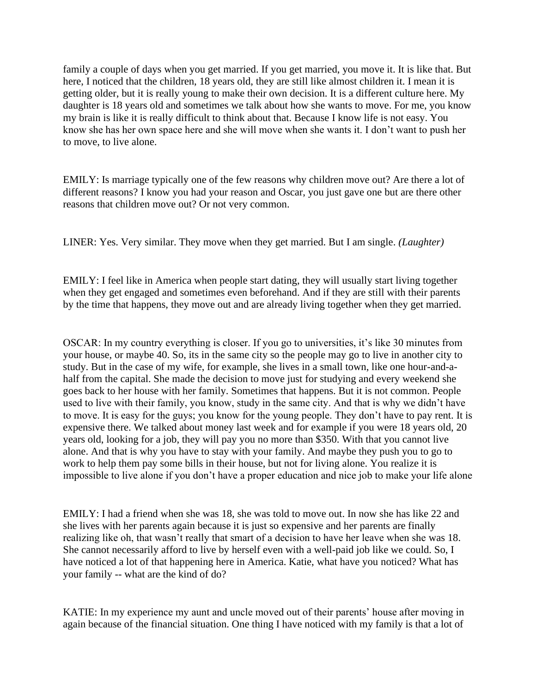family a couple of days when you get married. If you get married, you move it. It is like that. But here, I noticed that the children, 18 years old, they are still like almost children it. I mean it is getting older, but it is really young to make their own decision. It is a different culture here. My daughter is 18 years old and sometimes we talk about how she wants to move. For me, you know my brain is like it is really difficult to think about that. Because I know life is not easy. You know she has her own space here and she will move when she wants it. I don't want to push her to move, to live alone.

EMILY: Is marriage typically one of the few reasons why children move out? Are there a lot of different reasons? I know you had your reason and Oscar, you just gave one but are there other reasons that children move out? Or not very common.

LINER: Yes. Very similar. They move when they get married. But I am single. *(Laughter)*

EMILY: I feel like in America when people start dating, they will usually start living together when they get engaged and sometimes even beforehand. And if they are still with their parents by the time that happens, they move out and are already living together when they get married.

OSCAR: In my country everything is closer. If you go to universities, it's like 30 minutes from your house, or maybe 40. So, its in the same city so the people may go to live in another city to study. But in the case of my wife, for example, she lives in a small town, like one hour-and-ahalf from the capital. She made the decision to move just for studying and every weekend she goes back to her house with her family. Sometimes that happens. But it is not common. People used to live with their family, you know, study in the same city. And that is why we didn't have to move. It is easy for the guys; you know for the young people. They don't have to pay rent. It is expensive there. We talked about money last week and for example if you were 18 years old, 20 years old, looking for a job, they will pay you no more than \$350. With that you cannot live alone. And that is why you have to stay with your family. And maybe they push you to go to work to help them pay some bills in their house, but not for living alone. You realize it is impossible to live alone if you don't have a proper education and nice job to make your life alone

EMILY: I had a friend when she was 18, she was told to move out. In now she has like 22 and she lives with her parents again because it is just so expensive and her parents are finally realizing like oh, that wasn't really that smart of a decision to have her leave when she was 18. She cannot necessarily afford to live by herself even with a well-paid job like we could. So, I have noticed a lot of that happening here in America. Katie, what have you noticed? What has your family -- what are the kind of do?

KATIE: In my experience my aunt and uncle moved out of their parents' house after moving in again because of the financial situation. One thing I have noticed with my family is that a lot of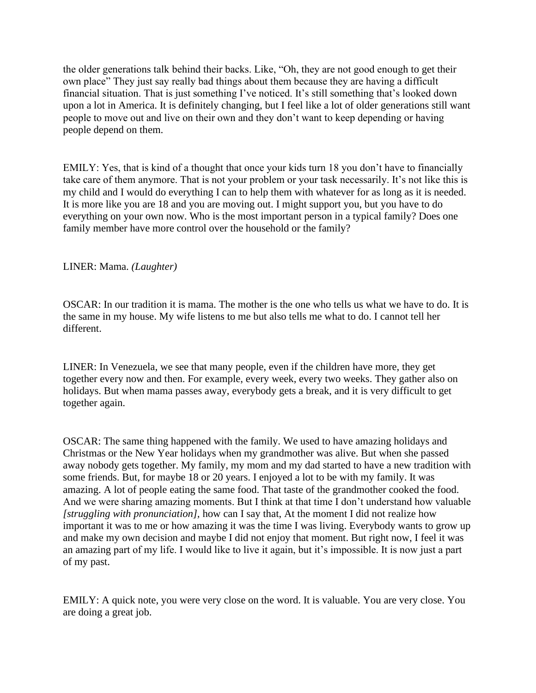the older generations talk behind their backs. Like, "Oh, they are not good enough to get their own place" They just say really bad things about them because they are having a difficult financial situation. That is just something I've noticed. It's still something that's looked down upon a lot in America. It is definitely changing, but I feel like a lot of older generations still want people to move out and live on their own and they don't want to keep depending or having people depend on them.

EMILY: Yes, that is kind of a thought that once your kids turn 18 you don't have to financially take care of them anymore. That is not your problem or your task necessarily. It's not like this is my child and I would do everything I can to help them with whatever for as long as it is needed. It is more like you are 18 and you are moving out. I might support you, but you have to do everything on your own now. Who is the most important person in a typical family? Does one family member have more control over the household or the family?

#### LINER: Mama. *(Laughter)*

OSCAR: In our tradition it is mama. The mother is the one who tells us what we have to do. It is the same in my house. My wife listens to me but also tells me what to do. I cannot tell her different.

LINER: In Venezuela, we see that many people, even if the children have more, they get together every now and then. For example, every week, every two weeks. They gather also on holidays. But when mama passes away, everybody gets a break, and it is very difficult to get together again.

OSCAR: The same thing happened with the family. We used to have amazing holidays and Christmas or the New Year holidays when my grandmother was alive. But when she passed away nobody gets together. My family, my mom and my dad started to have a new tradition with some friends. But, for maybe 18 or 20 years. I enjoyed a lot to be with my family. It was amazing. A lot of people eating the same food. That taste of the grandmother cooked the food. And we were sharing amazing moments. But I think at that time I don't understand how valuable *[struggling with pronunciation],* how can I say that, At the moment I did not realize how important it was to me or how amazing it was the time I was living. Everybody wants to grow up and make my own decision and maybe I did not enjoy that moment. But right now, I feel it was an amazing part of my life. I would like to live it again, but it's impossible. It is now just a part of my past.

EMILY: A quick note, you were very close on the word. It is valuable. You are very close. You are doing a great job.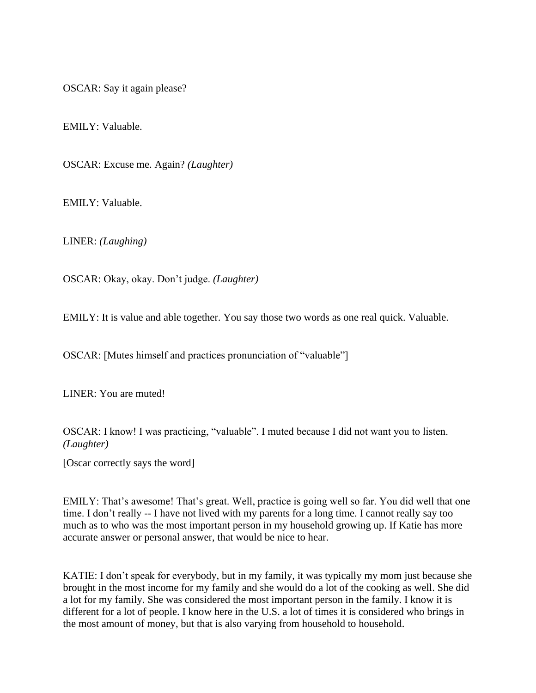OSCAR: Say it again please?

EMILY: Valuable.

OSCAR: Excuse me. Again? *(Laughter)*

EMILY: Valuable.

LINER: *(Laughing)*

OSCAR: Okay, okay. Don't judge. *(Laughter)*

EMILY: It is value and able together. You say those two words as one real quick. Valuable.

OSCAR: [Mutes himself and practices pronunciation of "valuable"]

LINER: You are muted!

OSCAR: I know! I was practicing, "valuable". I muted because I did not want you to listen. *(Laughter)*

[Oscar correctly says the word]

EMILY: That's awesome! That's great. Well, practice is going well so far. You did well that one time. I don't really -- I have not lived with my parents for a long time. I cannot really say too much as to who was the most important person in my household growing up. If Katie has more accurate answer or personal answer, that would be nice to hear.

KATIE: I don't speak for everybody, but in my family, it was typically my mom just because she brought in the most income for my family and she would do a lot of the cooking as well. She did a lot for my family. She was considered the most important person in the family. I know it is different for a lot of people. I know here in the U.S. a lot of times it is considered who brings in the most amount of money, but that is also varying from household to household.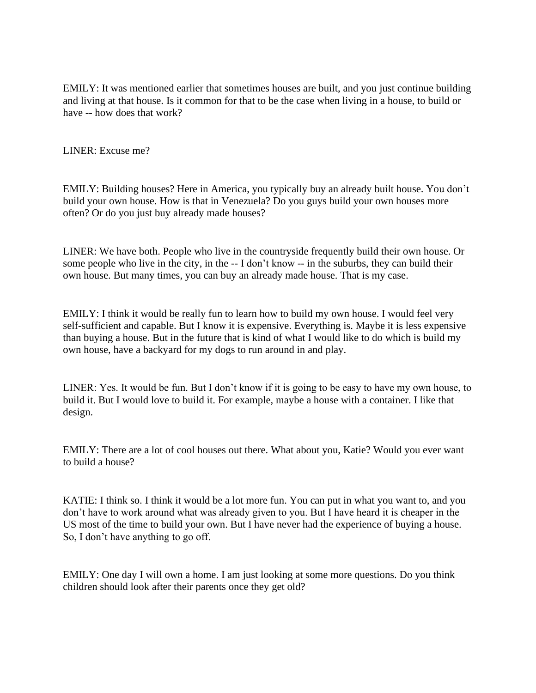EMILY: It was mentioned earlier that sometimes houses are built, and you just continue building and living at that house. Is it common for that to be the case when living in a house, to build or have -- how does that work?

LINER: Excuse me?

EMILY: Building houses? Here in America, you typically buy an already built house. You don't build your own house. How is that in Venezuela? Do you guys build your own houses more often? Or do you just buy already made houses?

LINER: We have both. People who live in the countryside frequently build their own house. Or some people who live in the city, in the -- I don't know -- in the suburbs, they can build their own house. But many times, you can buy an already made house. That is my case.

EMILY: I think it would be really fun to learn how to build my own house. I would feel very self-sufficient and capable. But I know it is expensive. Everything is. Maybe it is less expensive than buying a house. But in the future that is kind of what I would like to do which is build my own house, have a backyard for my dogs to run around in and play.

LINER: Yes. It would be fun. But I don't know if it is going to be easy to have my own house, to build it. But I would love to build it. For example, maybe a house with a container. I like that design.

EMILY: There are a lot of cool houses out there. What about you, Katie? Would you ever want to build a house?

KATIE: I think so. I think it would be a lot more fun. You can put in what you want to, and you don't have to work around what was already given to you. But I have heard it is cheaper in the US most of the time to build your own. But I have never had the experience of buying a house. So, I don't have anything to go off.

EMILY: One day I will own a home. I am just looking at some more questions. Do you think children should look after their parents once they get old?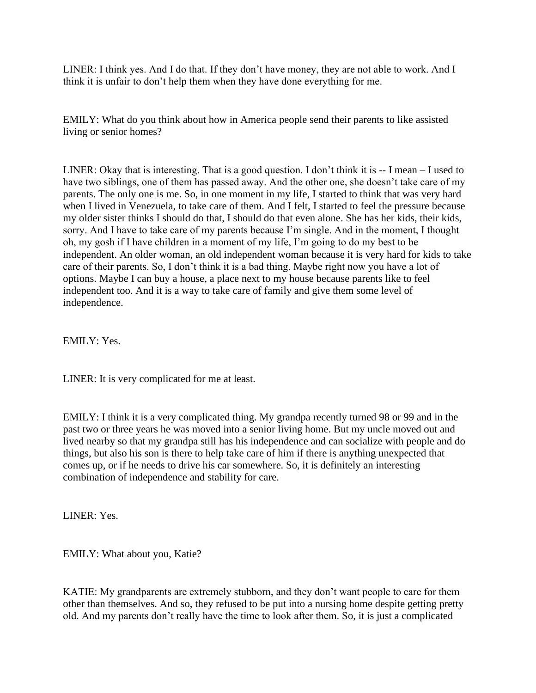LINER: I think yes. And I do that. If they don't have money, they are not able to work. And I think it is unfair to don't help them when they have done everything for me.

EMILY: What do you think about how in America people send their parents to like assisted living or senior homes?

LINER: Okay that is interesting. That is a good question. I don't think it is  $-1$  mean  $-1$  used to have two siblings, one of them has passed away. And the other one, she doesn't take care of my parents. The only one is me. So, in one moment in my life, I started to think that was very hard when I lived in Venezuela, to take care of them. And I felt, I started to feel the pressure because my older sister thinks I should do that, I should do that even alone. She has her kids, their kids, sorry. And I have to take care of my parents because I'm single. And in the moment, I thought oh, my gosh if I have children in a moment of my life, I'm going to do my best to be independent. An older woman, an old independent woman because it is very hard for kids to take care of their parents. So, I don't think it is a bad thing. Maybe right now you have a lot of options. Maybe I can buy a house, a place next to my house because parents like to feel independent too. And it is a way to take care of family and give them some level of independence.

EMILY: Yes.

LINER: It is very complicated for me at least.

EMILY: I think it is a very complicated thing. My grandpa recently turned 98 or 99 and in the past two or three years he was moved into a senior living home. But my uncle moved out and lived nearby so that my grandpa still has his independence and can socialize with people and do things, but also his son is there to help take care of him if there is anything unexpected that comes up, or if he needs to drive his car somewhere. So, it is definitely an interesting combination of independence and stability for care.

LINER: Yes.

EMILY: What about you, Katie?

KATIE: My grandparents are extremely stubborn, and they don't want people to care for them other than themselves. And so, they refused to be put into a nursing home despite getting pretty old. And my parents don't really have the time to look after them. So, it is just a complicated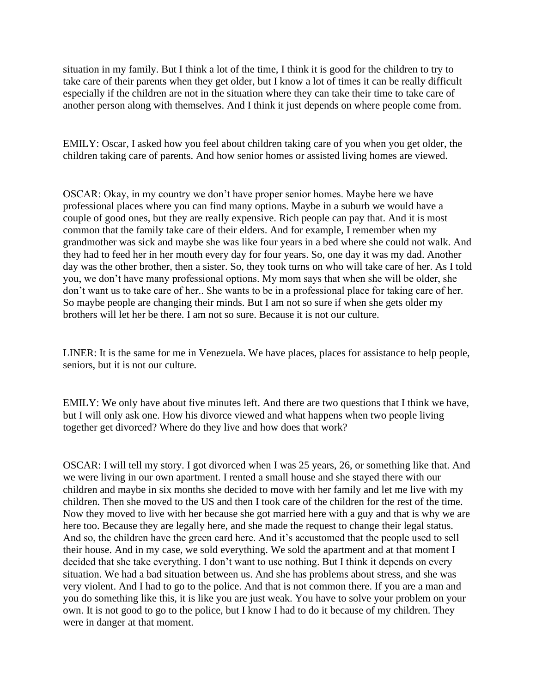situation in my family. But I think a lot of the time, I think it is good for the children to try to take care of their parents when they get older, but I know a lot of times it can be really difficult especially if the children are not in the situation where they can take their time to take care of another person along with themselves. And I think it just depends on where people come from.

EMILY: Oscar, I asked how you feel about children taking care of you when you get older, the children taking care of parents. And how senior homes or assisted living homes are viewed.

OSCAR: Okay, in my country we don't have proper senior homes. Maybe here we have professional places where you can find many options. Maybe in a suburb we would have a couple of good ones, but they are really expensive. Rich people can pay that. And it is most common that the family take care of their elders. And for example, I remember when my grandmother was sick and maybe she was like four years in a bed where she could not walk. And they had to feed her in her mouth every day for four years. So, one day it was my dad. Another day was the other brother, then a sister. So, they took turns on who will take care of her. As I told you, we don't have many professional options. My mom says that when she will be older, she don't want us to take care of her.. She wants to be in a professional place for taking care of her. So maybe people are changing their minds. But I am not so sure if when she gets older my brothers will let her be there. I am not so sure. Because it is not our culture.

LINER: It is the same for me in Venezuela. We have places, places for assistance to help people, seniors, but it is not our culture.

EMILY: We only have about five minutes left. And there are two questions that I think we have, but I will only ask one. How his divorce viewed and what happens when two people living together get divorced? Where do they live and how does that work?

OSCAR: I will tell my story. I got divorced when I was 25 years, 26, or something like that. And we were living in our own apartment. I rented a small house and she stayed there with our children and maybe in six months she decided to move with her family and let me live with my children. Then she moved to the US and then I took care of the children for the rest of the time. Now they moved to live with her because she got married here with a guy and that is why we are here too. Because they are legally here, and she made the request to change their legal status. And so, the children have the green card here. And it's accustomed that the people used to sell their house. And in my case, we sold everything. We sold the apartment and at that moment I decided that she take everything. I don't want to use nothing. But I think it depends on every situation. We had a bad situation between us. And she has problems about stress, and she was very violent. And I had to go to the police. And that is not common there. If you are a man and you do something like this, it is like you are just weak. You have to solve your problem on your own. It is not good to go to the police, but I know I had to do it because of my children. They were in danger at that moment.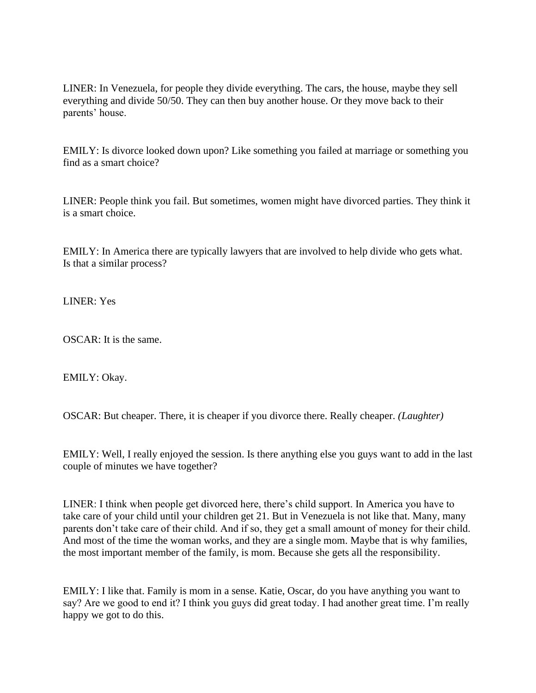LINER: In Venezuela, for people they divide everything. The cars, the house, maybe they sell everything and divide 50/50. They can then buy another house. Or they move back to their parents' house.

EMILY: Is divorce looked down upon? Like something you failed at marriage or something you find as a smart choice?

LINER: People think you fail. But sometimes, women might have divorced parties. They think it is a smart choice.

EMILY: In America there are typically lawyers that are involved to help divide who gets what. Is that a similar process?

LINER: Yes

OSCAR: It is the same.

EMILY: Okay.

OSCAR: But cheaper. There, it is cheaper if you divorce there. Really cheaper. *(Laughter)*

EMILY: Well, I really enjoyed the session. Is there anything else you guys want to add in the last couple of minutes we have together?

LINER: I think when people get divorced here, there's child support. In America you have to take care of your child until your children get 21. But in Venezuela is not like that. Many, many parents don't take care of their child. And if so, they get a small amount of money for their child. And most of the time the woman works, and they are a single mom. Maybe that is why families, the most important member of the family, is mom. Because she gets all the responsibility.

EMILY: I like that. Family is mom in a sense. Katie, Oscar, do you have anything you want to say? Are we good to end it? I think you guys did great today. I had another great time. I'm really happy we got to do this.